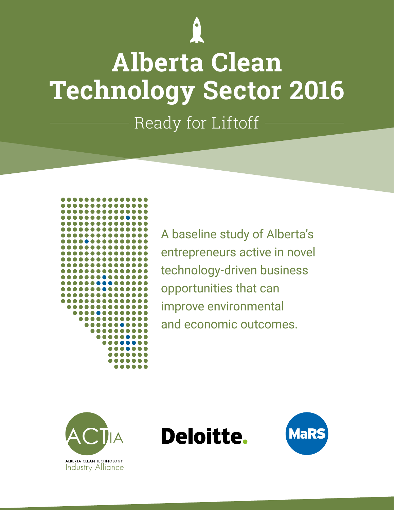

# **Alberta Clean Technology Sector 2016**

Ready for Liftoff



A baseline study of Alberta's entrepreneurs active in novel technology-driven business opportunities that can improve environmental and economic outcomes.





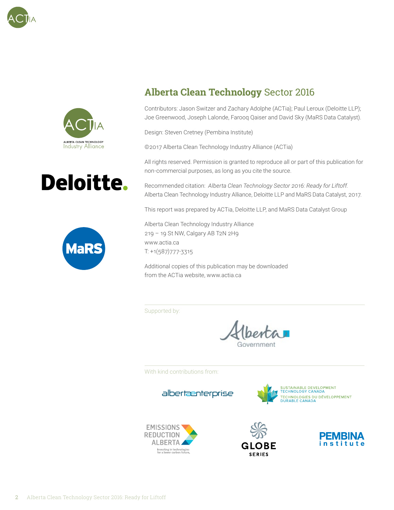







### **Alberta Clean Technology** Sector 2016

Contributors: Jason Switzer and Zachary Adolphe (ACTia); Paul Leroux (Deloitte LLP); Joe Greenwood, Joseph Lalonde, Farooq Qaiser and David Sky (MaRS Data Catalyst).

Design: Steven Cretney (Pembina Institute)

©2017 Alberta Clean Technology Industry Alliance (ACTia)

All rights reserved. Permission is granted to reproduce all or part of this publication for non-commercial purposes, as long as you cite the source.

Recommended citation: *Alberta Clean Technology Sector 2016: Ready for Liftoff.*  Alberta Clean Technology Industry Alliance, Deloitte LLP and MaRS Data Catalyst, 2017.

This report was prepared by ACTia, Deloitte LLP, and MaRS Data Catalyst Group

Alberta Clean Technology Industry Alliance 219 – 19 St NW, Calgary AB T2N 2H9 www.actia.ca T: +1(587)777-3315

Additional copies of this publication may be downloaded from the ACTia website, www.actia.ca

Supported by:

With kind contributions from:

albertænterprise







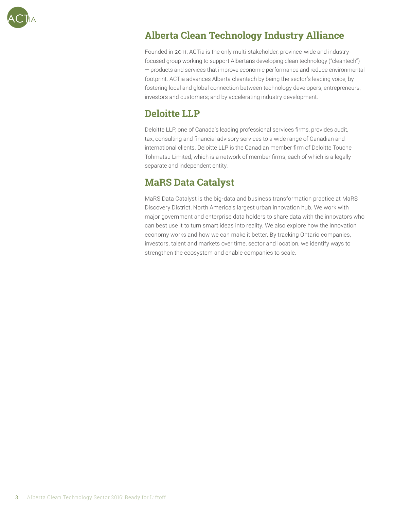

### **Alberta Clean Technology Industry Alliance**

Founded in 2011, ACTia is the only multi-stakeholder, province-wide and industryfocused group working to support Albertans developing clean technology ("cleantech") — products and services that improve economic performance and reduce environmental footprint. ACTia advances Alberta cleantech by being the sector's leading voice; by fostering local and global connection between technology developers, entrepreneurs, investors and customers; and by accelerating industry development.

#### **Deloitte LLP**

Deloitte LLP, one of Canada's leading professional services firms, provides audit, tax, consulting and financial advisory services to a wide range of Canadian and international clients. Deloitte LLP is the Canadian member firm of Deloitte Touche Tohmatsu Limited, which is a network of member firms, each of which is a legally separate and independent entity.

### **MaRS Data Catalyst**

MaRS Data Catalyst is the big-data and business transformation practice at MaRS Discovery District, North America's largest urban innovation hub. We work with major government and enterprise data holders to share data with the innovators who can best use it to turn smart ideas into reality. We also explore how the innovation economy works and how we can make it better. By tracking Ontario companies, investors, talent and markets over time, sector and location, we identify ways to strengthen the ecosystem and enable companies to scale.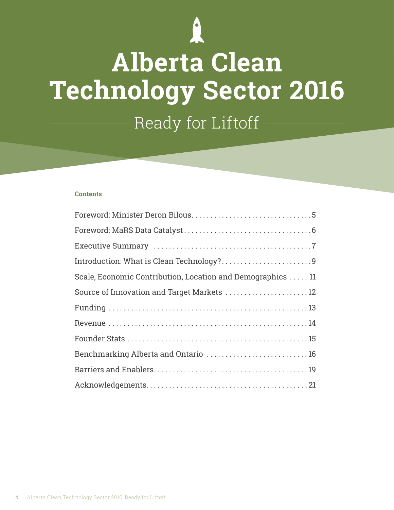

# **Alberta Clean Technology Sector 2016** Ready for Liftoff

#### **Contents**

| Scale, Economic Contribution, Location and Demographics  11 |
|-------------------------------------------------------------|
| Source of Innovation and Target Markets  12                 |
|                                                             |
|                                                             |
|                                                             |
| Benchmarking Alberta and Ontario  16                        |
|                                                             |
|                                                             |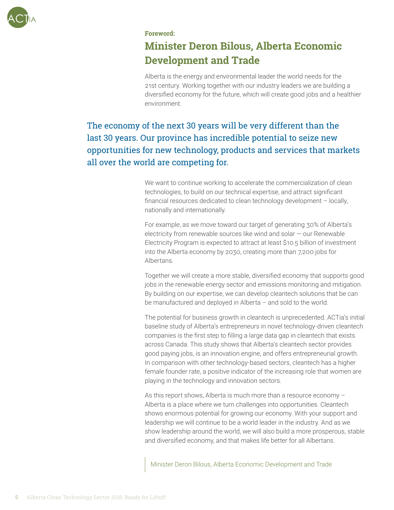

#### **Foreword:**

### **Minister Deron Bilous, Alberta Economic Development and Trade**

Alberta is the energy and environmental leader the world needs for the 21st century. Working together with our industry leaders we are building a diversified economy for the future, which will create good jobs and a healthier environment.

The economy of the next 30 years will be very different than the last 30 years. Our province has incredible potential to seize new opportunities for new technology, products and services that markets all over the world are competing for.

> We want to continue working to accelerate the commercialization of clean technologies, to build on our technical expertise, and attract significant financial resources dedicated to clean technology development – locally, nationally and internationally.

For example, as we move toward our target of generating 30% of Alberta's electricity from renewable sources like wind and solar  $-$  our Renewable Electricity Program is expected to attract at least \$10.5 billion of investment into the Alberta economy by 2030, creating more than 7,200 jobs for Albertans.

Together we will create a more stable, diversified economy that supports good jobs in the renewable energy sector and emissions monitoring and mitigation. By building on our expertise, we can develop cleantech solutions that be can be manufactured and deployed in Alberta – and sold to the world.

The potential for business growth in cleantech is unprecedented. ACTia's initial baseline study of Alberta's entrepreneurs in novel technology-driven cleantech companies is the first step to filling a large data gap in cleantech that exists across Canada. This study shows that Alberta's cleantech sector provides good paying jobs, is an innovation engine, and offers entrepreneurial growth. In comparison with other technology-based sectors, cleantech has a higher female founder rate, a positive indicator of the increasing role that women are playing in the technology and innovation sectors.

As this report shows, Alberta is much more than a resource economy – Alberta is a place where we turn challenges into opportunities. Cleantech shows enormous potential for growing our economy. With your support and leadership we will continue to be a world leader in the industry. And as we show leadership around the world, we will also build a more prosperous, stable and diversified economy, and that makes life better for all Albertans.

Minister Deron Bilous, Alberta Economic Development and Trade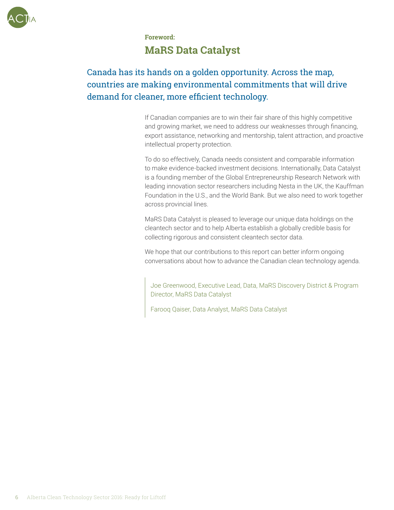

### **Foreword: MaRS Data Catalyst**

### Canada has its hands on a golden opportunity. Across the map, countries are making environmental commitments that will drive demand for cleaner, more efficient technology.

If Canadian companies are to win their fair share of this highly competitive and growing market, we need to address our weaknesses through financing, export assistance, networking and mentorship, talent attraction, and proactive intellectual property protection.

To do so effectively, Canada needs consistent and comparable information to make evidence-backed investment decisions. Internationally, Data Catalyst is a founding member of the Global Entrepreneurship Research Network with leading innovation sector researchers including Nesta in the UK, the Kauffman Foundation in the U.S., and the World Bank. But we also need to work together across provincial lines.

MaRS Data Catalyst is pleased to leverage our unique data holdings on the cleantech sector and to help Alberta establish a globally credible basis for collecting rigorous and consistent cleantech sector data.

We hope that our contributions to this report can better inform ongoing conversations about how to advance the Canadian clean technology agenda.

Joe Greenwood, Executive Lead, Data, MaRS Discovery District & Program Director, MaRS Data Catalyst

Farooq Qaiser, Data Analyst, MaRS Data Catalyst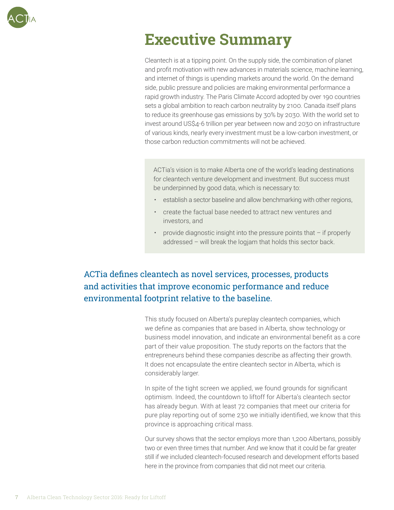

### **Executive Summary**

Cleantech is at a tipping point. On the supply side, the combination of planet and profit motivation with new advances in materials science, machine learning, and internet of things is upending markets around the world. On the demand side, public pressure and policies are making environmental performance a rapid growth industry. The Paris Climate Accord adopted by over 190 countries sets a global ambition to reach carbon neutrality by 2100. Canada itself plans to reduce its greenhouse gas emissions by 30% by 2030. With the world set to invest around US\$4-6 trillion per year between now and 2030 on infrastructure of various kinds, nearly every investment must be a low-carbon investment, or those carbon reduction commitments will not be achieved.

ACTia's vision is to make Alberta one of the world's leading destinations for cleantech venture development and investment. But success must be underpinned by good data, which is necessary to:

- establish a sector baseline and allow benchmarking with other regions,
- create the factual base needed to attract new ventures and investors, and
- provide diagnostic insight into the pressure points that if properly addressed – will break the logjam that holds this sector back.

### ACTia defines cleantech as novel services, processes, products and activities that improve economic performance and reduce environmental footprint relative to the baseline.

This study focused on Alberta's pureplay cleantech companies, which we define as companies that are based in Alberta, show technology or business model innovation, and indicate an environmental benefit as a core part of their value proposition. The study reports on the factors that the entrepreneurs behind these companies describe as affecting their growth. It does not encapsulate the entire cleantech sector in Alberta, which is considerably larger.

In spite of the tight screen we applied, we found grounds for significant optimism. Indeed, the countdown to liftoff for Alberta's cleantech sector has already begun. With at least 72 companies that meet our criteria for pure play reporting out of some 230 we initially identified, we know that this province is approaching critical mass.

Our survey shows that the sector employs more than 1,200 Albertans, possibly two or even three times that number. And we know that it could be far greater still if we included cleantech-focused research and development efforts based here in the province from companies that did not meet our criteria.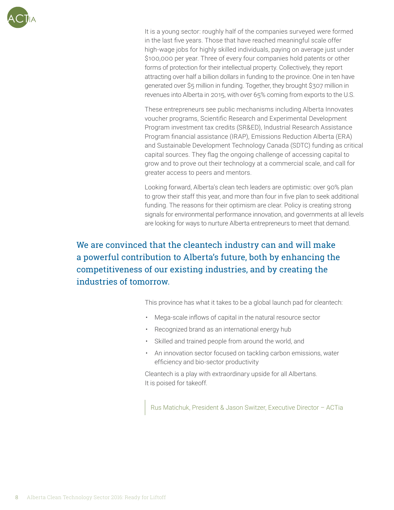

It is a young sector: roughly half of the companies surveyed were formed in the last five years. Those that have reached meaningful scale offer high-wage jobs for highly skilled individuals, paying on average just under \$100,000 per year. Three of every four companies hold patents or other forms of protection for their intellectual property. Collectively, they report attracting over half a billion dollars in funding to the province. One in ten have generated over \$5 million in funding. Together, they brought \$307 million in revenues into Alberta in 2015, with over 65% coming from exports to the U.S.

These entrepreneurs see public mechanisms including Alberta Innovates voucher programs, Scientific Research and Experimental Development Program investment tax credits (SR&ED), Industrial Research Assistance Program financial assistance (IRAP), Emissions Reduction Alberta (ERA) and Sustainable Development Technology Canada (SDTC) funding as critical capital sources. They flag the ongoing challenge of accessing capital to grow and to prove out their technology at a commercial scale, and call for greater access to peers and mentors.

Looking forward, Alberta's clean tech leaders are optimistic: over 90% plan to grow their staff this year, and more than four in five plan to seek additional funding. The reasons for their optimism are clear. Policy is creating strong signals for environmental performance innovation, and governments at all levels are looking for ways to nurture Alberta entrepreneurs to meet that demand.

We are convinced that the cleantech industry can and will make a powerful contribution to Alberta's future, both by enhancing the competitiveness of our existing industries, and by creating the industries of tomorrow.

This province has what it takes to be a global launch pad for cleantech:

- Mega-scale inflows of capital in the natural resource sector
- Recognized brand as an international energy hub
- Skilled and trained people from around the world, and
- An innovation sector focused on tackling carbon emissions, water efficiency and bio-sector productivity

Cleantech is a play with extraordinary upside for all Albertans. It is poised for takeoff.

Rus Matichuk, President & Jason Switzer, Executive Director – ACTia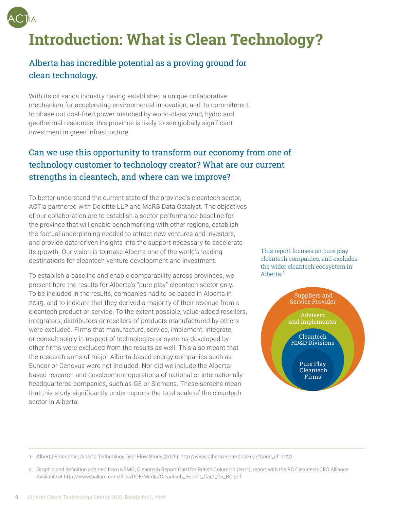

# **Introduction: What is Clean Technology?**

### Alberta has incredible potential as a proving ground for clean technology.

With its oil sands industry having established a unique collaborative mechanism for accelerating environmental innovation, and its commitment to phase out coal-fired power matched by world-class wind, hydro and geothermal resources, this province is likely to see globally significant investment in green infrastructure.

#### Can we use this opportunity to transform our economy from one of technology customer to technology creator? What are our current strengths in cleantech, and where can we improve?

To better understand the current state of the province's cleantech sector, ACTia partnered with Deloitte LLP and MaRS Data Catalyst. The objectives of our collaboration are to establish a sector performance baseline for the province that will enable benchmarking with other regions, establish the factual underpinning needed to attract new ventures and investors, and provide data-driven insights into the support necessary to accelerate its growth. Our vision is to make Alberta one of the world's leading destinations for cleantech venture development and investment.

To establish a baseline and enable comparability across provinces, we present here the results for Alberta's "pure play" cleantech sector only. To be included in the results, companies had to be based in Alberta in 2015, and to indicate that they derived a majority of their revenue from a cleantech product or service. To the extent possible, value-added resellers, integrators, distributors or resellers of products manufactured by others were excluded. Firms that manufacture, service, implement, integrate, or consult solely in respect of technologies or systems developed by other firms were excluded from the results as well. This also meant that the research arms of major Alberta-based energy companies such as Suncor or Cenovus were not included. Nor did we include the Albertabased research and development operations of national or internationally headquartered companies, such as GE or Siemens. These screens mean that this study significantly under-reports the total scale of the cleantech sector in Alberta.

This report focuses on pure play cleantech companies, and excludes the wider cleantech ecosystem in Alberta<sup>2</sup>



1. Alberta Enterprise, Alberta Technology Deal Flow Study (2016). http://www.alberta-enterprise.ca/?page\_id=1150

<sup>2.</sup> Graphic and definition adapted from KPMG, Cleantech Report Card for British Columbia (2011), report with the BC Cleantech CEO Alliance. Available at http://www.ballard.com/files/PDF/Media/Cleantech\_Report\_Card\_for\_BC.pdf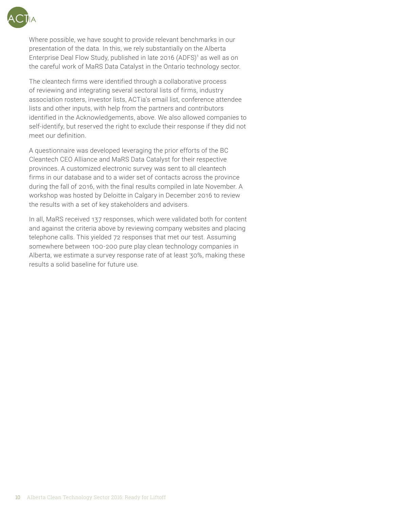

Where possible, we have sought to provide relevant benchmarks in our presentation of the data. In this, we rely substantially on the Alberta Enterprise Deal Flow Study, published in late 2016 (ADFS)<sup>1</sup> as well as on the careful work of MaRS Data Catalyst in the Ontario technology sector.

The cleantech firms were identified through a collaborative process of reviewing and integrating several sectoral lists of firms, industry association rosters, investor lists, ACTia's email list, conference attendee lists and other inputs, with help from the partners and contributors identified in the Acknowledgements, above. We also allowed companies to self-identify, but reserved the right to exclude their response if they did not meet our definition.

A questionnaire was developed leveraging the prior efforts of the BC Cleantech CEO Alliance and MaRS Data Catalyst for their respective provinces. A customized electronic survey was sent to all cleantech firms in our database and to a wider set of contacts across the province during the fall of 2016, with the final results compiled in late November. A workshop was hosted by Deloitte in Calgary in December 2016 to review the results with a set of key stakeholders and advisers.

In all, MaRS received 137 responses, which were validated both for content and against the criteria above by reviewing company websites and placing telephone calls. This yielded 72 responses that met our test. Assuming somewhere between 100-200 pure play clean technology companies in Alberta, we estimate a survey response rate of at least 30%, making these results a solid baseline for future use.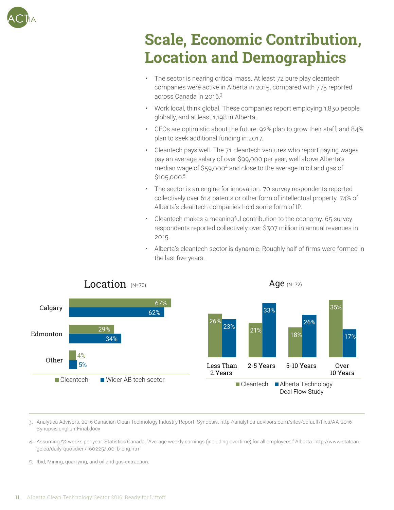

## **Scale, Economic Contribution, Location and Demographics**

- The sector is nearing critical mass. At least 72 pure play cleantech companies were active in Alberta in 2015, compared with 775 reported across Canada in 2016.<sup>3</sup>
- Work local, think global. These companies report employing 1,830 people globally, and at least 1,198 in Alberta.
- CEOs are optimistic about the future: 92% plan to grow their staff, and 84% plan to seek additional funding in 2017.
- Cleantech pays well. The 71 cleantech ventures who report paying wages pay an average salary of over \$99,000 per year, well above Alberta's median wage of \$59,000<sup>4</sup> and close to the average in oil and gas of \$105,000.5
- The sector is an engine for innovation. 70 survey respondents reported collectively over 614 patents or other form of intellectual property. 74% of Alberta's cleantech companies hold some form of IP.
- Cleantech makes a meaningful contribution to the economy. 65 survey respondents reported collectively over \$307 million in annual revenues in 2015.
- Alberta's cleantech sector is dynamic. Roughly half of firms were formed in the last five years.



3. Analytica Advisors, 2016 Canadian Clean Technology Industry Report: Synopsis. http://analytica-advisors.com/sites/default/files/AA-2016 Synopsis english-Final.docx

- 4. Assuming 52 weeks per year. Statistics Canada, "Average weekly earnings (including overtime) for all employees," Alberta. http://www.statcan. gc.ca/daily-quotidien/160225/t001b-eng.htm
- 5. Ibid, Mining, quarrying, and oil and gas extraction.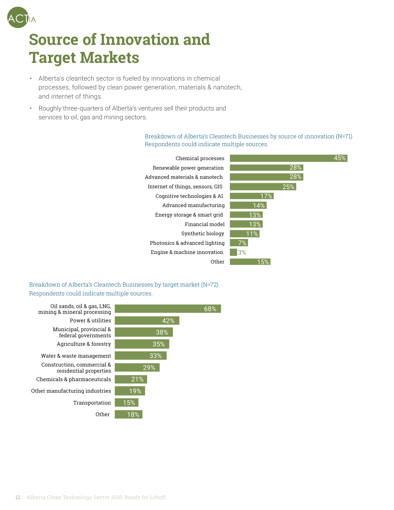# **Source of Innovation and Target Markets**

- Alberta's cleantech sector is fueled by innovations in chemical processes, followed by clean power generation, materials & nanotech, and internet of things.
- Roughly three-quarters of Alberta's ventures sell their products and services to oil, gas and mining sectors.

Breakdown of Alberta's Cleantech Businesses by source of innovation (N=71) Respondents could indicate multiple sources.<br>ـ

| Chemical processes               |     |     |  |
|----------------------------------|-----|-----|--|
| Renewable power generation       |     | 28% |  |
| Advanced materials & nanotech    |     | 28% |  |
| Internet of things, sensors, GIS |     | 25% |  |
| Cognitive technologies & AI      | 17% |     |  |
| Advanced manufacturing           | 14% |     |  |
| Energy storage & smart grid      | 13% |     |  |
| Financial model                  | 13% |     |  |
| Synthetic biology                | 11% |     |  |
| Photonics & advanced lighting    | 7%  |     |  |
| Engine & machine innovation      | 3%  |     |  |
| Other                            | 15% |     |  |

Breakdown of Alberta's Cleantech Businesses by target market (N=72) Respondents could indicate multiple sources.

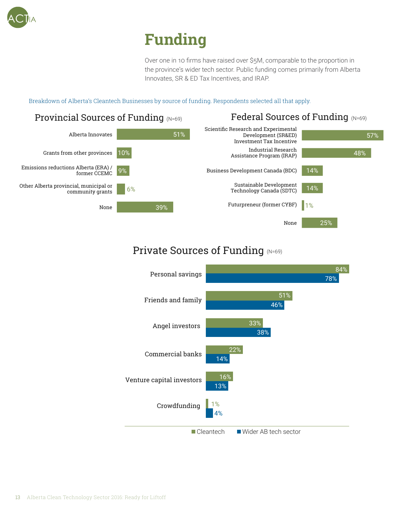

# **Funding**

Over one in 10 firms have raised over \$5M, comparable to the proportion in the province's wider tech sector. Public funding comes primarily from Alberta Innovates, SR & ED Tax Incentives, and IRAP.

Breakdown of Alberta's Cleantech Businesses by source of funding. Respondents selected all that apply.



### Private Sources of Funding (N=69)

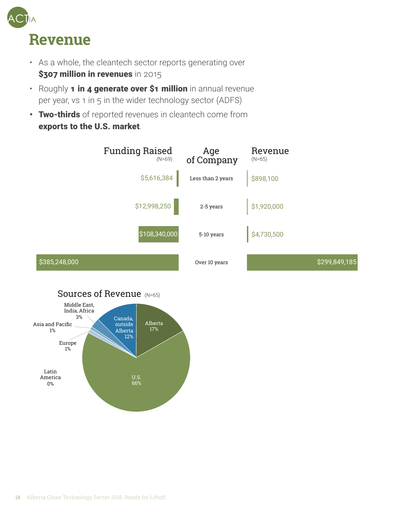

- As a whole, the cleantech sector reports generating over \$307 million in revenues in 2015
- Roughly 1 in 4 generate over \$1 million in annual revenue per year, vs 1 in 5 in the wider technology sector (ADFS)
- Two-thirds of reported revenues in cleantech come from exports to the U.S. market.



#### Sources of Revenue (N=65)

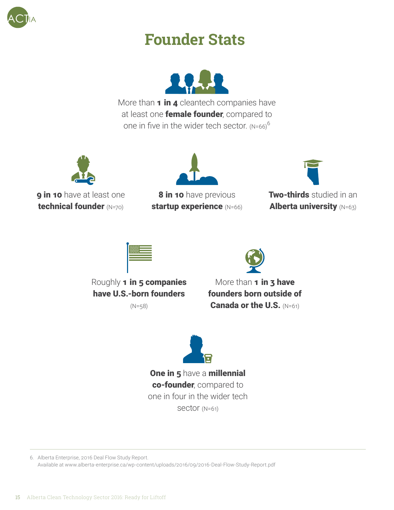

### **Founder Stats**



More than  $1$  in  $4$  cleantech companies have at least one **female founder**, compared to one in five in the wider tech sector.  $(N=66)^6$ 



**9 in 10** have at least one technical founder (N=70)



8 in 10 have previous startup experience (N=66)



**Two-thirds** studied in an Alberta university (N=63)





Roughly 1 in 5 companies have U.S.-born founders

(N=58)

More than 1 in 3 have founders born outside of Canada or the U.S. (N=61)



One in 5 have a millennial co-founder, compared to one in four in the wider tech sector (N=61)

6. Alberta Enterprise, 2016 Deal Flow Study Report. Available at www.alberta-enterprise.ca/wp-content/uploads/2016/09/2016-Deal-Flow-Study-Report.pdf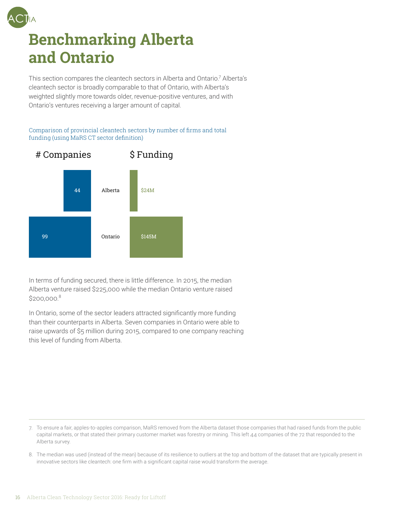

### **Benchmarking Alberta and Ontario**

This section compares the cleantech sectors in Alberta and Ontario.<sup>7</sup> Alberta's cleantech sector is broadly comparable to that of Ontario, with Alberta's weighted slightly more towards older, revenue-positive ventures, and with Ontario's ventures receiving a larger amount of capital.

#### Comparison of provincial cleantech sectors by number of firms and total funding (using MaRS CT sector definition)



In terms of funding secured, there is little difference. In 2015, the median Alberta venture raised \$225,000 while the median Ontario venture raised  $$200.000.<sup>8</sup>$ 

In Ontario, some of the sector leaders attracted significantly more funding than their counterparts in Alberta. Seven companies in Ontario were able to raise upwards of \$5 million during 2015, compared to one company reaching this level of funding from Alberta.

<sup>7.</sup> To ensure a fair, apples-to-apples comparison, MaRS removed from the Alberta dataset those companies that had raised funds from the public capital markets, or that stated their primary customer market was forestry or mining. This left 44 companies of the 72 that responded to the Alberta survey.

<sup>8.</sup> The median was used (instead of the mean) because of its resilience to outliers at the top and bottom of the dataset that are typically present in innovative sectors like cleantech: one firm with a significant capital raise would transform the average.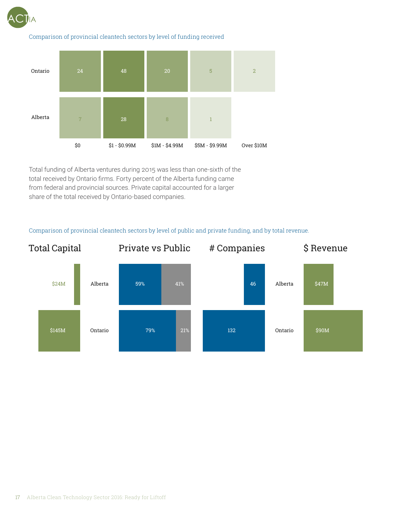

#### Comparison of provincial cleantech sectors by level of funding received



Total funding of Alberta ventures during 2015 was less than one-sixth of the total received by Ontario firms. Forty percent of the Alberta funding came from federal and provincial sources. Private capital accounted for a larger share of the total received by Ontario-based companies.

#### Comparison of provincial cleantech sectors by level of public and private funding, and by total revenue.

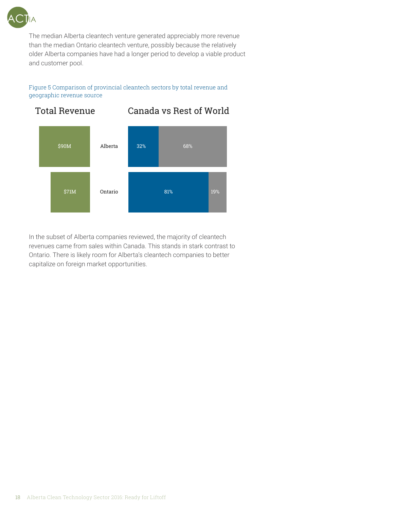

The median Alberta cleantech venture generated appreciably more revenue than the median Ontario cleantech venture, possibly because the relatively older Alberta companies have had a longer period to develop a viable product and customer pool.

Figure 5 Comparison of provincial cleantech sectors by total revenue and geographic revenue source



In the subset of Alberta companies reviewed, the majority of cleantech revenues came from sales within Canada. This stands in stark contrast to Ontario. There is likely room for Alberta's cleantech companies to better capitalize on foreign market opportunities.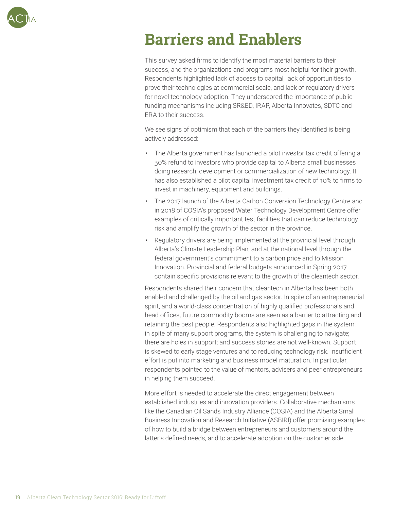

### **Barriers and Enablers**

This survey asked firms to identify the most material barriers to their success, and the organizations and programs most helpful for their growth. Respondents highlighted lack of access to capital, lack of opportunities to prove their technologies at commercial scale, and lack of regulatory drivers for novel technology adoption. They underscored the importance of public funding mechanisms including SR&ED, IRAP, Alberta Innovates, SDTC and ERA to their success.

We see signs of optimism that each of the barriers they identified is being actively addressed:

- The Alberta government has launched a pilot investor tax credit offering a 30% refund to investors who provide capital to Alberta small businesses doing research, development or commercialization of new technology. It has also established a pilot capital investment tax credit of 10% to firms to invest in machinery, equipment and buildings.
- The 2017 launch of the Alberta Carbon Conversion Technology Centre and in 2018 of COSIA's proposed Water Technology Development Centre offer examples of critically important test facilities that can reduce technology risk and amplify the growth of the sector in the province.
- Regulatory drivers are being implemented at the provincial level through Alberta's Climate Leadership Plan, and at the national level through the federal government's commitment to a carbon price and to Mission Innovation. Provincial and federal budgets announced in Spring 2017 contain specific provisions relevant to the growth of the cleantech sector.

Respondents shared their concern that cleantech in Alberta has been both enabled and challenged by the oil and gas sector. In spite of an entrepreneurial spirit, and a world-class concentration of highly qualified professionals and head offices, future commodity booms are seen as a barrier to attracting and retaining the best people. Respondents also highlighted gaps in the system: in spite of many support programs, the system is challenging to navigate; there are holes in support; and success stories are not well-known. Support is skewed to early stage ventures and to reducing technology risk. Insufficient effort is put into marketing and business model maturation. In particular, respondents pointed to the value of mentors, advisers and peer entrepreneurs in helping them succeed.

More effort is needed to accelerate the direct engagement between established industries and innovation providers. Collaborative mechanisms like the Canadian Oil Sands Industry Alliance (COSIA) and the Alberta Small Business Innovation and Research Initiative (ASBIRI) offer promising examples of how to build a bridge between entrepreneurs and customers around the latter's defined needs, and to accelerate adoption on the customer side.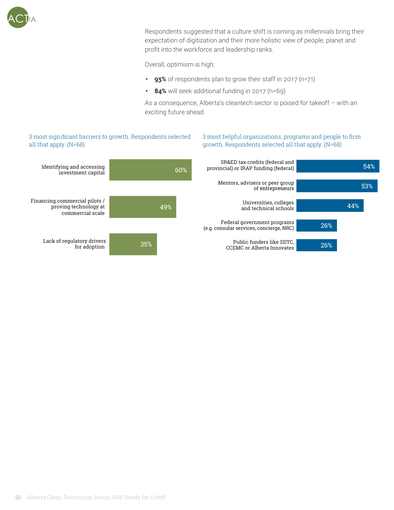

Respondents suggested that a culture shift is coming as millennials bring their expectation of digitization and their more holistic view of people, planet and profit into the workforce and leadership ranks.

Overall, optimism is high:

- 93% of respondents plan to grow their staff in 2017 (n=71)
- 84% will seek additional funding in 2017 (n=69)

As a consequence, Alberta's cleantech sector is poised for takeoff – with an exciting future ahead.

CCEMC or Alberta Innovates

53%

54%

#### 3 most significant barriers to growth. Respondents selected all that apply. (N=68) 3 most helpful organizations, programs and people to firm growth. Respondents selected all that apply. (N=68) (N=68)35% 49% 60% Lack of regulatory drivers Financing commercial pilots / proving technology at commercial scale Identifying and accessing investment capital 26% 26% 44% Public funders like SDTC, Federal government programs (e .g . consular services, concierge, NRC) Universities, colleges and technical schools Mentors, advisers or peer group of entrepreneurs SR&ED tax credits (federal and provincial) or IRAP funding (federal)

for adoption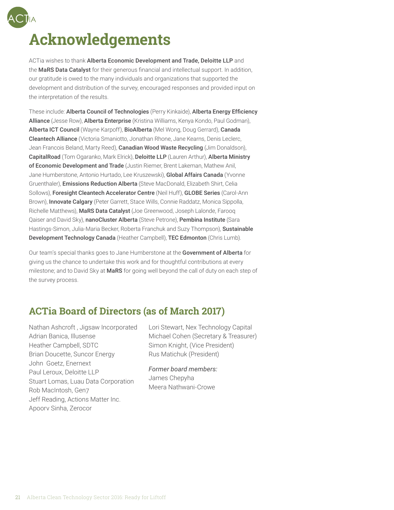## **Acknowledgements**

ACTia wishes to thank Alberta Economic Development and Trade, Deloitte LLP and the MaRS Data Catalyst for their generous financial and intellectual support. In addition, our gratitude is owed to the many individuals and organizations that supported the development and distribution of the survey, encouraged responses and provided input on the interpretation of the results.

These include: Alberta Council of Technologies (Perry Kinkaide), Alberta Energy Efficiency Alliance (Jesse Row), Alberta Enterprise (Kristina Williams, Kenya Kondo, Paul Godman), Alberta ICT Council (Wayne Karpoff), BioAlberta (Mel Wong, Doug Gerrard), Canada Cleantech Alliance (Victoria Smaniotto, Jonathan Rhone, Jane Kearns, Denis Leclerc, Jean Francois Beland, Marty Reed), Canadian Wood Waste Recycling (Jim Donaldson), CapitalRoad (Tom Ogaranko, Mark Elrick), Deloitte LLP (Lauren Arthur), Alberta Ministry of Economic Development and Trade (Justin Riemer, Brent Lakeman, Mathew Anil, Jane Humberstone, Antonio Hurtado, Lee Kruszewski), Global Affairs Canada (Yvonne Gruenthaler), Emissions Reduction Alberta (Steve MacDonald, Elizabeth Shirt, Celia Sollows), Foresight Cleantech Accelerator Centre (Neil Huff), GLOBE Series (Carol-Ann Brown), Innovate Calgary (Peter Garrett, Stace Wills, Connie Raddatz, Monica Sippolla, Richelle Matthews), MaRS Data Catalyst (Joe Greenwood, Joseph Lalonde, Farooq Qaiser and David Sky), nanoCluster Alberta (Steve Petrone), Pembina Institute (Sara Hastings-Simon, Julia-Maria Becker, Roberta Franchuk and Suzy Thompson), Sustainable Development Technology Canada (Heather Campbell), TEC Edmonton (Chris Lumb).

Our team's special thanks goes to Jane Humberstone at the Government of Alberta for giving us the chance to undertake this work and for thoughtful contributions at every milestone; and to David Sky at MaRS for going well beyond the call of duty on each step of the survey process.

### **ACTia Board of Directors (as of March 2017)**

Nathan Ashcroft , Jigsaw Incorporated Adrian Banica, Illusense Heather Campbell, SDTC Brian Doucette, Suncor Energy John Goetz, Enernext Paul Leroux, Deloitte LLP Stuart Lomas, Luau Data Corporation Rob MacIntosh, Gen7 Jeff Reading, Actions Matter Inc. Apoorv Sinha, Zerocor

Lori Stewart, Nex Technology Capital Michael Cohen (Secretary & Treasurer) Simon Knight, (Vice President) Rus Matichuk (President)

*Former board members:*

James Chepyha Meera Nathwani-Crowe